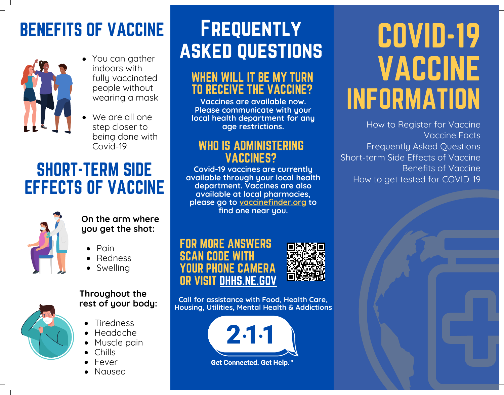## BENEFITS OF VACCINE



- You can gather indoors with fully vaccinated people without wearing a mask
- We are all one step closer to being done with Covid-19

### SHORT-TERM SIDE EFFECTS OF VACCINE



**On the arm where you get the shot:**

- $\bullet$  Pain
- Redness
- Swelling



#### **Throughout the rest of your body:**

- Tiredness
- Headache
- Muscle pain
- Chills
- Fever
- Nausea

## **FREQUENTLY** asked questions

#### WHEN WILL IT BE MY TURN TO RECEIVE THE VACCINE?

**Vaccines are available now. Please communicate with your local health department for any age restrictions.**

#### WHO IS ADMINISTERING VACCINES?

**Covid-19 vaccines are currently available through your local health department. Vaccines are also available at local pharmacies, please go to vaccinefinder.org to find one near you.**





**Call for assistance with Food, Health Care, Housing, Utilities, Mental Health & Addictions**



# COVID-19 VACCINE INFORMATION

How to Register for Vaccine Vaccine Facts Frequently Asked Questions Short-term Side Effects of Vaccine Benefits of Vaccine How to get tested for COVID-19